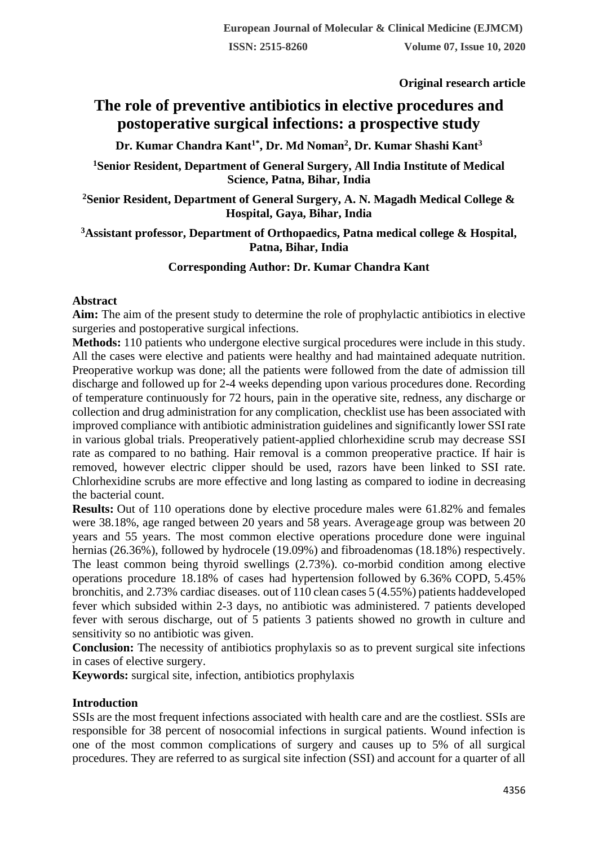**Original research article** 

# **The role of preventive antibiotics in elective procedures and postoperative surgical infections: a prospective study**

**Dr. Kumar Chandra Kant1\* , Dr. Md Noman<sup>2</sup> , Dr. Kumar Shashi Kant<sup>3</sup>**

**<sup>1</sup>Senior Resident, Department of General Surgery, All India Institute of Medical Science, Patna, Bihar, India**

**<sup>2</sup>Senior Resident, Department of General Surgery, A. N. Magadh Medical College & Hospital, Gaya, Bihar, India**

#### **<sup>3</sup>Assistant professor, Department of Orthopaedics, Patna medical college & Hospital, Patna, Bihar, India**

# **Corresponding Author: Dr. Kumar Chandra Kant**

#### **Abstract**

**Aim:** The aim of the present study to determine the role of prophylactic antibiotics in elective surgeries and postoperative surgical infections.

**Methods:** 110 patients who undergone elective surgical procedures were include in this study. All the cases were elective and patients were healthy and had maintained adequate nutrition. Preoperative workup was done; all the patients were followed from the date of admission till discharge and followed up for 2-4 weeks depending upon various procedures done. Recording of temperature continuously for 72 hours, pain in the operative site, redness, any discharge or collection and drug administration for any complication, checklist use has been associated with improved compliance with antibiotic administration guidelines and significantly lower SSI rate in various global trials. Preoperatively patient-applied chlorhexidine scrub may decrease SSI rate as compared to no bathing. Hair removal is a common preoperative practice. If hair is removed, however electric clipper should be used, razors have been linked to SSI rate. Chlorhexidine scrubs are more effective and long lasting as compared to iodine in decreasing the bacterial count.

**Results:** Out of 110 operations done by elective procedure males were 61.82% and females were 38.18%, age ranged between 20 years and 58 years. Averageage group was between 20 years and 55 years. The most common elective operations procedure done were inguinal hernias (26.36%), followed by hydrocele (19.09%) and fibroadenomas (18.18%) respectively. The least common being thyroid swellings (2.73%). co-morbid condition among elective operations procedure 18.18% of cases had hypertension followed by 6.36% COPD, 5.45% bronchitis, and 2.73% cardiac diseases. out of 110 clean cases 5 (4.55%) patients haddeveloped fever which subsided within 2-3 days, no antibiotic was administered. 7 patients developed fever with serous discharge, out of 5 patients 3 patients showed no growth in culture and sensitivity so no antibiotic was given.

**Conclusion:** The necessity of antibiotics prophylaxis so as to prevent surgical site infections in cases of elective surgery.

**Keywords:** surgical site, infection, antibiotics prophylaxis

#### **Introduction**

SSIs are the most frequent infections associated with health care and are the costliest. SSIs are responsible for 38 percent of nosocomial infections in surgical patients. Wound infection is one of the most common complications of surgery and causes up to 5% of all surgical procedures. They are referred to as surgical site infection (SSI) and account for a quarter of all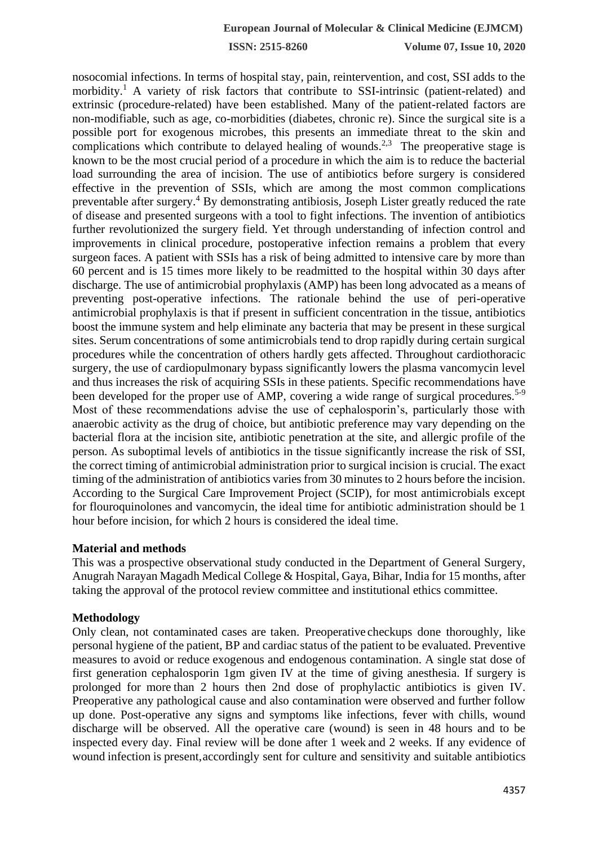**ISSN: 2515-8260 Volume 07, Issue 10, 2020**

nosocomial infections. In terms of hospital stay, pain, reintervention, and cost, SSI adds to the morbidity.<sup>1</sup> A variety of risk factors that contribute to SSI-intrinsic (patient-related) and extrinsic (procedure-related) have been established. Many of the patient-related factors are non-modifiable, such as age, co-morbidities (diabetes, chronic re). Since the surgical site is a possible port for exogenous microbes, this presents an immediate threat to the skin and complications which contribute to delayed healing of wounds.<sup>2,3</sup> The preoperative stage is known to be the most crucial period of a procedure in which the aim is to reduce the bacterial load surrounding the area of incision. The use of antibiotics before surgery is considered effective in the prevention of SSIs, which are among the most common complications preventable after surgery.<sup>4</sup> By demonstrating antibiosis, Joseph Lister greatly reduced the rate of disease and presented surgeons with a tool to fight infections. The invention of antibiotics further revolutionized the surgery field. Yet through understanding of infection control and improvements in clinical procedure, postoperative infection remains a problem that every surgeon faces. A patient with SSIs has a risk of being admitted to intensive care by more than 60 percent and is 15 times more likely to be readmitted to the hospital within 30 days after discharge. The use of antimicrobial prophylaxis (AMP) has been long advocated as a means of preventing post-operative infections. The rationale behind the use of peri-operative antimicrobial prophylaxis is that if present in sufficient concentration in the tissue, antibiotics boost the immune system and help eliminate any bacteria that may be present in these surgical sites. Serum concentrations of some antimicrobials tend to drop rapidly during certain surgical procedures while the concentration of others hardly gets affected. Throughout cardiothoracic surgery, the use of cardiopulmonary bypass significantly lowers the plasma vancomycin level and thus increases the risk of acquiring SSIs in these patients. Specific recommendations have been developed for the proper use of AMP, covering a wide range of surgical procedures.<sup>5-9</sup> Most of these recommendations advise the use of cephalosporin's, particularly those with anaerobic activity as the drug of choice, but antibiotic preference may vary depending on the bacterial flora at the incision site, antibiotic penetration at the site, and allergic profile of the person. As suboptimal levels of antibiotics in the tissue significantly increase the risk of SSI, the correct timing of antimicrobial administration prior to surgical incision is crucial. The exact timing of the administration of antibiotics varies from 30 minutes to 2 hours before the incision. According to the Surgical Care Improvement Project (SCIP), for most antimicrobials except for flouroquinolones and vancomycin, the ideal time for antibiotic administration should be 1 hour before incision, for which 2 hours is considered the ideal time.

#### **Material and methods**

This was a prospective observational study conducted in the Department of General Surgery, Anugrah Narayan Magadh Medical College & Hospital, Gaya, Bihar, India for 15 months, after taking the approval of the protocol review committee and institutional ethics committee.

#### **Methodology**

Only clean, not contaminated cases are taken. Preoperative checkups done thoroughly, like personal hygiene of the patient, BP and cardiac status of the patient to be evaluated. Preventive measures to avoid or reduce exogenous and endogenous contamination. A single stat dose of first generation cephalosporin 1gm given IV at the time of giving anesthesia. If surgery is prolonged for more than 2 hours then 2nd dose of prophylactic antibiotics is given IV. Preoperative any pathological cause and also contamination were observed and further follow up done. Post-operative any signs and symptoms like infections, fever with chills, wound discharge will be observed. All the operative care (wound) is seen in 48 hours and to be inspected every day. Final review will be done after 1 week and 2 weeks. If any evidence of wound infection is present,accordingly sent for culture and sensitivity and suitable antibiotics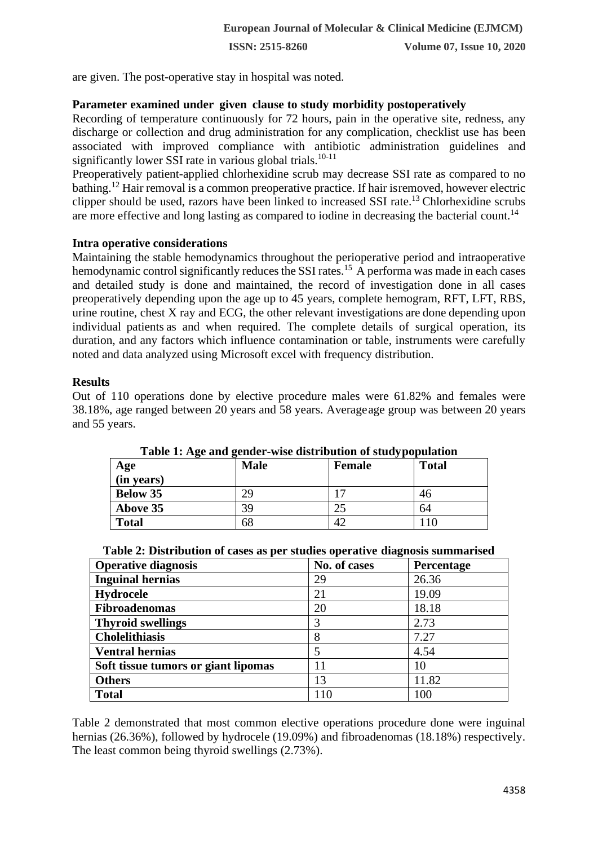**ISSN: 2515-8260 Volume 07, Issue 10, 2020**

are given. The post-operative stay in hospital was noted.

#### **Parameter examined under given clause to study morbidity postoperatively**

Recording of temperature continuously for 72 hours, pain in the operative site, redness, any discharge or collection and drug administration for any complication, checklist use has been associated with improved compliance with antibiotic administration guidelines and significantly lower SSI rate in various global trials.<sup>10-11</sup>

Preoperatively patient-applied chlorhexidine scrub may decrease SSI rate as compared to no bathing.<sup>12</sup> Hair removal is a common preoperative practice. If hair isremoved, however electric clipper should be used, razors have been linked to increased SSI rate.<sup>13</sup> Chlorhexidine scrubs are more effective and long lasting as compared to iodine in decreasing the bacterial count.<sup>14</sup>

#### **Intra operative considerations**

Maintaining the stable hemodynamics throughout the perioperative period and intraoperative hemodynamic control significantly reduces the SSI rates.<sup>15</sup> A performa was made in each cases and detailed study is done and maintained, the record of investigation done in all cases preoperatively depending upon the age up to 45 years, complete hemogram, RFT, LFT, RBS, urine routine, chest X ray and ECG, the other relevant investigations are done depending upon individual patients as and when required. The complete details of surgical operation, its duration, and any factors which influence contamination or table, instruments were carefully noted and data analyzed using Microsoft excel with frequency distribution.

#### **Results**

Out of 110 operations done by elective procedure males were 61.82% and females were 38.18%, age ranged between 20 years and 58 years. Averageage group was between 20 years and 55 years.

| Age             | <b>Male</b> | .<br><b>Female</b> | <b>Total</b> |
|-----------------|-------------|--------------------|--------------|
| (in years)      |             |                    |              |
| <b>Below 35</b> | 29          |                    | 46           |
| Above 35        | 39          |                    | 64           |
| <b>Total</b>    | 68          |                    |              |

**Table 1: Age and gender-wise distribution of studypopulation**

| Table 2: Distribution of cases as per studies operative diagnosis summarised |
|------------------------------------------------------------------------------|
|------------------------------------------------------------------------------|

| <b>Operative diagnosis</b>          | No. of cases | Percentage |
|-------------------------------------|--------------|------------|
| <b>Inguinal hernias</b>             | 29           | 26.36      |
| Hydrocele                           | 21           | 19.09      |
| <b>Fibroadenomas</b>                | 20           | 18.18      |
| <b>Thyroid swellings</b>            | 3            | 2.73       |
| <b>Cholelithiasis</b>               | 8            | 7.27       |
| <b>Ventral hernias</b>              | 5            | 4.54       |
| Soft tissue tumors or giant lipomas |              | 10         |
| <b>Others</b>                       | 13           | 11.82      |
| <b>Total</b>                        | 110          | 100        |

Table 2 demonstrated that most common elective operations procedure done were inguinal hernias (26.36%), followed by hydrocele (19.09%) and fibroadenomas (18.18%) respectively. The least common being thyroid swellings (2.73%).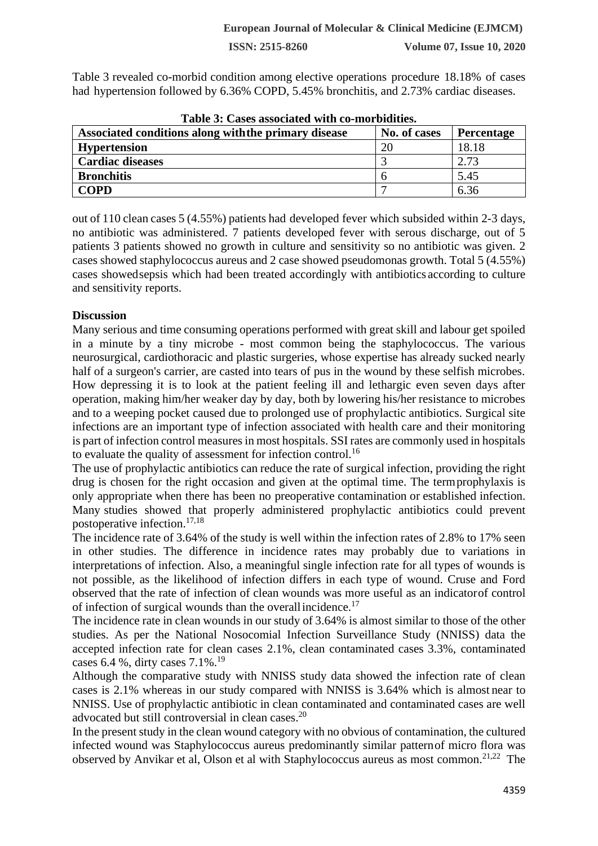**ISSN: 2515-8260 Volume 07, Issue 10, 2020**

Table 3 revealed co-morbid condition among elective operations procedure 18.18% of cases had hypertension followed by 6.36% COPD, 5.45% bronchitis, and 2.73% cardiac diseases.

| Table 3: Cases associated with co-morbidities.       |              |                   |  |  |
|------------------------------------------------------|--------------|-------------------|--|--|
| Associated conditions along with the primary disease | No. of cases | <b>Percentage</b> |  |  |
| <b>Hypertension</b>                                  | 20           | 18.18             |  |  |
| <b>Cardiac diseases</b>                              |              | 2.73              |  |  |
| <b>Bronchitis</b>                                    |              | 5.45              |  |  |
| <b>COPD</b>                                          |              | 6.36              |  |  |

out of 110 clean cases 5 (4.55%) patients had developed fever which subsided within 2-3 days, no antibiotic was administered. 7 patients developed fever with serous discharge, out of 5 patients 3 patients showed no growth in culture and sensitivity so no antibiotic was given. 2 cases showed staphylococcus aureus and 2 case showed pseudomonas growth. Total 5 (4.55%) cases showedsepsis which had been treated accordingly with antibiotics according to culture

#### **Discussion**

and sensitivity reports.

Many serious and time consuming operations performed with great skill and labour get spoiled in a minute by a tiny microbe - most common being the staphylococcus. The various neurosurgical, cardiothoracic and plastic surgeries, whose expertise has already sucked nearly half of a surgeon's carrier, are casted into tears of pus in the wound by these selfish microbes. How depressing it is to look at the patient feeling ill and lethargic even seven days after operation, making him/her weaker day by day, both by lowering his/her resistance to microbes and to a weeping pocket caused due to prolonged use of prophylactic antibiotics. Surgical site infections are an important type of infection associated with health care and their monitoring is part of infection control measures in most hospitals. SSI rates are commonly used in hospitals to evaluate the quality of assessment for infection control.<sup>16</sup>

The use of prophylactic antibiotics can reduce the rate of surgical infection, providing the right drug is chosen for the right occasion and given at the optimal time. The termprophylaxis is only appropriate when there has been no preoperative contamination or established infection. Many studies showed that properly administered prophylactic antibiotics could prevent postoperative infection.17,18

The incidence rate of 3.64% of the study is well within the infection rates of 2.8% to 17% seen in other studies. The difference in incidence rates may probably due to variations in interpretations of infection. Also, a meaningful single infection rate for all types of wounds is not possible, as the likelihood of infection differs in each type of wound. Cruse and Ford observed that the rate of infection of clean wounds was more useful as an indicatorof control of infection of surgical wounds than the overall incidence.<sup>17</sup>

The incidence rate in clean wounds in our study of 3.64% is almost similar to those of the other studies. As per the National Nosocomial Infection Surveillance Study (NNISS) data the accepted infection rate for clean cases 2.1%, clean contaminated cases 3.3%, contaminated cases 6.4 %, dirty cases 7.1%.<sup>19</sup>

Although the comparative study with NNISS study data showed the infection rate of clean cases is 2.1% whereas in our study compared with NNISS is 3.64% which is almost near to NNISS. Use of prophylactic antibiotic in clean contaminated and contaminated cases are well advocated but still controversial in clean cases.<sup>20</sup>

In the present study in the clean wound category with no obvious of contamination, the cultured infected wound was Staphylococcus aureus predominantly similar patternof micro flora was observed by Anvikar et al, Olson et al with Staphylococcus aureus as most common.21,22 The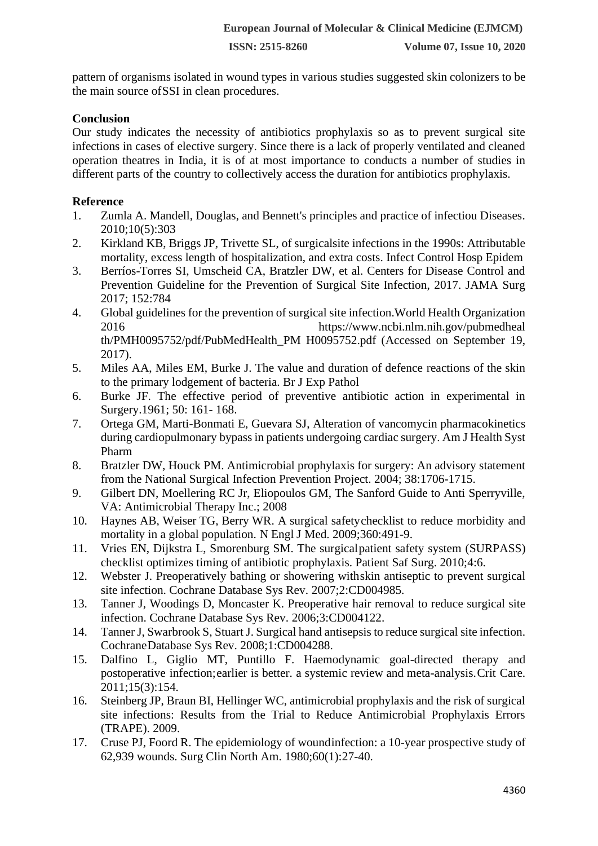pattern of organisms isolated in wound types in various studies suggested skin colonizers to be the main source ofSSI in clean procedures.

### **Conclusion**

Our study indicates the necessity of antibiotics prophylaxis so as to prevent surgical site infections in cases of elective surgery. Since there is a lack of properly ventilated and cleaned operation theatres in India, it is of at most importance to conducts a number of studies in different parts of the country to collectively access the duration for antibiotics prophylaxis.

# **Reference**

- 1. Zumla A. Mandell, Douglas, and Bennett's principles and practice of infectiou Diseases. 2010;10(5):303
- 2. Kirkland KB, Briggs JP, Trivette SL, of surgicalsite infections in the 1990s: Attributable mortality, excess length of hospitalization, and extra costs. Infect Control Hosp Epidem
- 3. Berríos-Torres SI, Umscheid CA, Bratzler DW, et al. Centers for Disease Control and Prevention Guideline for the Prevention of Surgical Site Infection, 2017. JAMA Surg 2017; 152:784
- 4. Global guidelines for the prevention of surgical site infection.World Health Organization 2016 https://www.ncbi.nlm.nih.gov/pubmedheal th/PMH0095752/pdf/PubMedHealth\_PM H0095752.pdf (Accessed on September 19, 2017).
- 5. Miles AA, Miles EM, Burke J. The value and duration of defence reactions of the skin to the primary lodgement of bacteria. Br J Exp Pathol
- 6. Burke JF. The effective period of preventive antibiotic action in experimental in Surgery.1961; 50: 161- 168.
- 7. Ortega GM, Marti-Bonmati E, Guevara SJ, Alteration of vancomycin pharmacokinetics during cardiopulmonary bypass in patients undergoing cardiac surgery. Am J Health Syst Pharm
- 8. Bratzler DW, Houck PM. Antimicrobial prophylaxis for surgery: An advisory statement from the National Surgical Infection Prevention Project. 2004; 38:1706-1715.
- 9. Gilbert DN, Moellering RC Jr, Eliopoulos GM, The Sanford Guide to Anti Sperryville, VA: Antimicrobial Therapy Inc.; 2008
- 10. Haynes AB, Weiser TG, Berry WR. A surgical safetychecklist to reduce morbidity and mortality in a global population. N Engl J Med. 2009;360:491-9.
- 11. Vries EN, Dijkstra L, Smorenburg SM. The surgicalpatient safety system (SURPASS) checklist optimizes timing of antibiotic prophylaxis. Patient Saf Surg. 2010;4:6.
- 12. Webster J. Preoperatively bathing or showering withskin antiseptic to prevent surgical site infection. Cochrane Database Sys Rev. 2007;2:CD004985.
- 13. Tanner J, Woodings D, Moncaster K. Preoperative hair removal to reduce surgical site infection. Cochrane Database Sys Rev. 2006;3:CD004122.
- 14. Tanner J, Swarbrook S, Stuart J. Surgical hand antisepsis to reduce surgical site infection. CochraneDatabase Sys Rev. 2008;1:CD004288.
- 15. Dalfino L, Giglio MT, Puntillo F. Haemodynamic goal-directed therapy and postoperative infection;earlier is better. a systemic review and meta-analysis.Crit Care. 2011;15(3):154.
- 16. Steinberg JP, Braun BI, Hellinger WC, antimicrobial prophylaxis and the risk of surgical site infections: Results from the Trial to Reduce Antimicrobial Prophylaxis Errors (TRAPE). 2009.
- 17. Cruse PJ, Foord R. The epidemiology of woundinfection: a 10-year prospective study of 62,939 wounds. Surg Clin North Am. 1980;60(1):27-40.